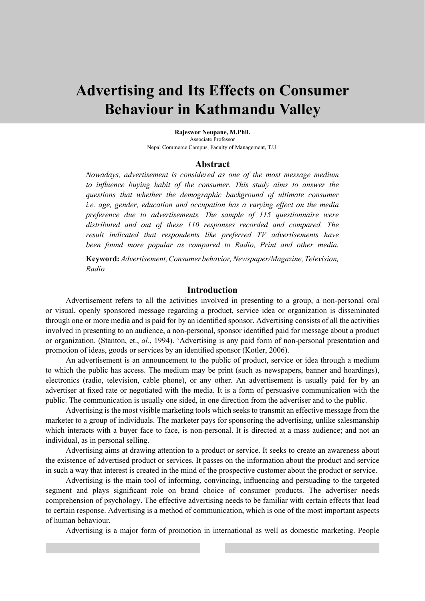# **Advertising and Its Effects on Consumer Behaviour in Kathmandu Valley**

**Rajeswor Neupane, M.Phil.** Associate Professor Nepal Commerce Campus, Faculty of Management, T.U.

### **Abstract**

*Nowadays, advertisement is considered as one of the most message medium to influence buying habit of the consumer. This study aims to answer the questions that whether the demographic background of ultimate consumer i.e. age, gender, education and occupation has a varying effect on the media preference due to advertisements. The sample of 115 questionnaire were distributed and out of these 110 responses recorded and compared. The result indicated that respondents like preferred TV advertisements have been found more popular as compared to Radio, Print and other media.* 

**Keyword:** *Advertisement, Consumer behavior, Newspaper/Magazine, Television, Radio* 

#### **Introduction**

Advertisement refers to all the activities involved in presenting to a group, a non-personal oral or visual, openly sponsored message regarding a product, service idea or organization is disseminated through one or more media and is paid for by an identified sponsor. Advertising consists of all the activities involved in presenting to an audience, a non-personal, sponsor identified paid for message about a product or organization. (Stanton, et., *al.*, 1994). 'Advertising is any paid form of non-personal presentation and promotion of ideas, goods or services by an identified sponsor (Kotler, 2006).

An advertisement is an announcement to the public of product, service or idea through a medium to which the public has access. The medium may be print (such as newspapers, banner and hoardings), electronics (radio, television, cable phone), or any other. An advertisement is usually paid for by an advertiser at fixed rate or negotiated with the media. It is a form of persuasive communication with the public. The communication is usually one sided, in one direction from the advertiser and to the public.

Advertising is the most visible marketing tools which seeks to transmit an effective message from the marketer to a group of individuals. The marketer pays for sponsoring the advertising, unlike salesmanship which interacts with a buyer face to face, is non-personal. It is directed at a mass audience; and not an individual, as in personal selling.

Advertising aims at drawing attention to a product or service. It seeks to create an awareness about the existence of advertised product or services. It passes on the information about the product and service in such a way that interest is created in the mind of the prospective customer about the product or service.

Advertising is the main tool of informing, convincing, influencing and persuading to the targeted segment and plays significant role on brand choice of consumer products. The advertiser needs comprehension of psychology. The effective advertising needs to be familiar with certain effects that lead to certain response. Advertising is a method of communication, which is one of the most important aspects of human behaviour.

Advertising is a major form of promotion in international as well as domestic marketing. People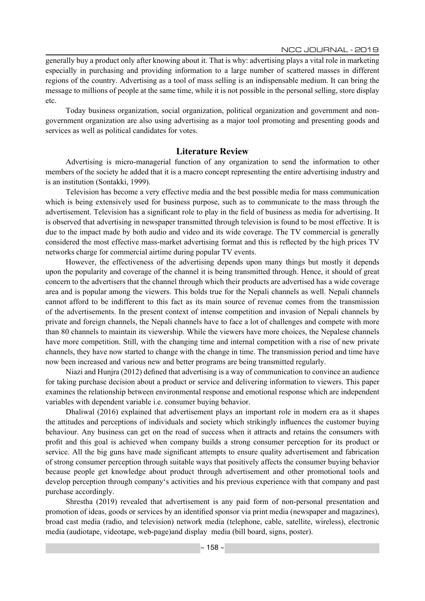generally buy a product only after knowing about it. That is why: advertising plays a vital role in marketing especially in purchasing and providing information to a large number of scattered masses in different regions of the country. Advertising as a tool of mass selling is an indispensable medium. It can bring the message to millions of people at the same time, while it is not possible in the personal selling, store display etc.

Today business organization, social organization, political organization and government and nongovernment organization are also using advertising as a major tool promoting and presenting goods and services as well as political candidates for votes.

## **Literature Review**

Advertising is micro-managerial function of any organization to send the information to other members of the society he added that it is a macro concept representing the entire advertising industry and is an institution (Sontakki, 1999).

Television has become a very effective media and the best possible media for mass communication which is being extensively used for business purpose, such as to communicate to the mass through the advertisement. Television has a significant role to play in the field of business as media for advertising. It is observed that advertising in newspaper transmitted through television is found to be most effective. It is due to the impact made by both audio and video and its wide coverage. The TV commercial is generally considered the most effective mass-market advertising format and this is reflected by the high prices TV networks charge for commercial airtime during popular TV events.

However, the effectiveness of the advertising depends upon many things but mostly it depends upon the popularity and coverage of the channel it is being transmitted through. Hence, it should of great concern to the advertisers that the channel through which their products are advertised has a wide coverage area and is popular among the viewers. This bolds true for the Nepali channels as well. Nepali channels cannot afford to be indifferent to this fact as its main source of revenue comes from the transmission of the advertisements. In the present context of intense competition and invasion of Nepali channels by private and foreign channels, the Nepali channels have to face a lot of challenges and compete with more than 80 channels to maintain its viewership. While the viewers have more choices, the Nepalese channels have more competition. Still, with the changing time and internal competition with a rise of new private channels, they have now started to change with the change in time. The transmission period and time have now been increased and various new and better programs are being transmitted regularly.

Niazi and Hunjra (2012) defined that advertising is a way of communication to convince an audience for taking purchase decision about a product or service and delivering information to viewers. This paper examines the relationship between environmental response and emotional response which are independent variables with dependent variable i.e. consumer buying behavior.

Dhaliwal (2016) explained that advertisement plays an important role in modern era as it shapes the attitudes and perceptions of individuals and society which strikingly influences the customer buying behaviour. Any business can get on the road of success when it attracts and retains the consumers with profit and this goal is achieved when company builds a strong consumer perception for its product or service. All the big guns have made significant attempts to ensure quality advertisement and fabrication of strong consumer perception through suitable ways that positively affects the consumer buying behavior because people get knowledge about product through advertisement and other promotional tools and develop perception through company's activities and his previous experience with that company and past purchase accordingly.

Shrestha (2019) revealed that advertisement is any paid form of non-personal presentation and promotion of ideas, goods or services by an identified sponsor via print media (newspaper and magazines), broad cast media (radio, and television) network media (telephone, cable, satellite, wireless), electronic media (audiotape, videotape, web-page)and display media (bill board, signs, poster).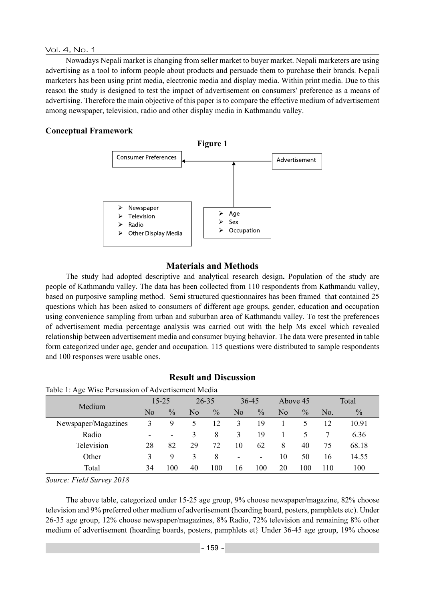### Vol. 4, No. 1

Nowadays Nepali market is changing from seller market to buyer market. Nepali marketers are using advertising as a tool to inform people about products and persuade them to purchase their brands. Nepali marketers has been using print media, electronic media and display media. Within print media. Due to this reason the study is designed to test the impact of advertisement on consumers' preference as a means of advertising. Therefore the main objective of this paper is to compare the effective medium of advertisement among newspaper, television, radio and other display media in Kathmandu valley.

## **Conceptual Framework**



# **Materials and Methods**

The study had adopted descriptive and analytical research design**.** Population of the study are people of Kathmandu valley. The data has been collected from 110 respondents from Kathmandu valley, based on purposive sampling method. Semi structured questionnaires has been framed that contained 25 questions which has been asked to consumers of different age groups, gender, education and occupation using convenience sampling from urban and suburban area of Kathmandu valley. To test the preferences of advertisement media percentage analysis was carried out with the help Ms excel which revealed relationship between advertisement media and consumer buying behavior. The data were presented in table form categorized under age, gender and occupation. 115 questions were distributed to sample respondents and 100 responses were usable ones.

# **Result and Discussion**

Table 1: Age Wise Persuasion of Advertisement Media

| ັ                   |                          |               |           |               |                          |               |          |               |       |               |
|---------------------|--------------------------|---------------|-----------|---------------|--------------------------|---------------|----------|---------------|-------|---------------|
| Medium              | $15 - 25$                |               | $26 - 35$ |               | $36 - 45$                |               | Above 45 |               | Total |               |
|                     | N <sub>0</sub>           | $\frac{0}{0}$ | No        | $\frac{0}{0}$ | N <sub>0</sub>           | $\frac{0}{0}$ | No       | $\frac{0}{0}$ | No.   | $\frac{0}{0}$ |
| Newspaper/Magazines | 3                        | 9             |           | 12            | 3                        | 19            |          |               | 12    | 10.91         |
| Radio               | $\overline{\phantom{a}}$ | -             | 3         | 8             | 3                        | 19            |          |               |       | 6.36          |
| Television          | 28                       | 82            | 29        | 72            | 10                       | 62            | 8        | 40            | 75    | 68.18         |
| Other               |                          | 9             | 3         | 8             | $\overline{\phantom{a}}$ | ۰             | 10       | 50            | 16    | 14.55         |
| Total               | 34                       | 100           | 40        | 100           | 16                       | 100           | 20       | 100           | 110   | 100           |

*Source: Field Survey 2018* 

The above table, categorized under 15-25 age group, 9% choose newspaper/magazine, 82% choose television and 9% preferred other medium of advertisement (hoarding board, posters, pamphlets etc). Under 26-35 age group, 12% choose newspaper/magazines, 8% Radio, 72% television and remaining 8% other medium of advertisement (hoarding boards, posters, pamphlets et} Under 36-45 age group, 19% choose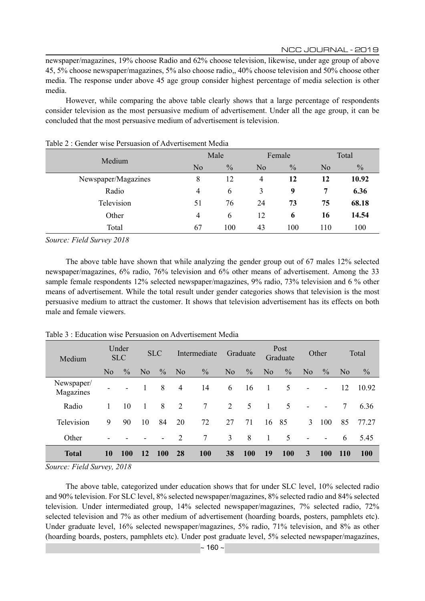newspaper/magazines, 19% choose Radio and 62% choose television, likewise, under age group of above 45, 5% choose newspaper/magazines, 5% also choose radio,, 40% choose television and 50% choose other media. The response under above 45 age group consider highest percentage of media selection is other media.

However, while comparing the above table clearly shows that a large percentage of respondents consider television as the most persuasive medium of advertisement. Under all the age group, it can be concluded that the most persuasive medium of advertisement is television.

| Medium              |                | Male          |                | Female        | Total          |               |  |
|---------------------|----------------|---------------|----------------|---------------|----------------|---------------|--|
|                     | N <sub>o</sub> | $\frac{0}{0}$ | No             | $\frac{0}{0}$ | N <sub>0</sub> | $\frac{0}{0}$ |  |
| Newspaper/Magazines | 8              | 12            | $\overline{4}$ | 12            | 12             | 10.92         |  |
| Radio               | 4              | 6             | 3              | 9             | 7              | 6.36          |  |
| Television          | 51             | 76            | 24             | 73            | 75             | 68.18         |  |
| Other               | 4              | 6             | 12             | 6             | 16             | 14.54         |  |
| Total               | 67             | 100           | 43             | 100           | 110            | 100           |  |

#### Table 2 : Gender wise Persuasion of Advertisement Media

*Source: Field Survey 2018* 

The above table have shown that while analyzing the gender group out of 67 males 12% selected newspaper/magazines, 6% radio, 76% television and 6% other means of advertisement. Among the 33 sample female respondents 12% selected newspaper/magazines, 9% radio, 73% television and 6 % other means of advertisement. While the total result under gender categories shows that television is the most persuasive medium to attract the customer. It shows that television advertisement has its effects on both male and female viewers.

| Under<br><b>SLC</b><br><b>SLC</b><br>Medium |                |               | Intermediate   |                          | Graduate       |                 | Post<br>Graduate |               | Other          |               | Total                    |                          |                |               |
|---------------------------------------------|----------------|---------------|----------------|--------------------------|----------------|-----------------|------------------|---------------|----------------|---------------|--------------------------|--------------------------|----------------|---------------|
|                                             | N <sub>0</sub> | $\frac{0}{0}$ | N <sub>0</sub> | $\frac{0}{0}$            | N <sub>0</sub> | $\frac{0}{0}$   | N <sub>o</sub>   | $\frac{0}{0}$ | N <sub>o</sub> | $\frac{0}{0}$ | N <sub>0</sub>           | $\%$                     | N <sub>0</sub> | $\frac{0}{0}$ |
| Newspaper/<br>Magazines                     |                |               |                | 8                        | $\overline{4}$ | 14              | 6                | 16            |                | 5             | $\blacksquare$           | $\overline{\phantom{a}}$ | 12             | 10.92         |
| Radio                                       |                | 10            | 1              | 8                        | $\overline{2}$ | 7               | 2                | 5             | -1             | 5             |                          |                          | 7              | 6.36          |
| Television                                  | 9              | 90            | 10             | 84                       | 20             | 72              | 27               | 71            | 16             | 85            | 3                        | 100                      | 85             | 77.27         |
| Other                                       |                |               |                | $\overline{\phantom{a}}$ | 2              | $7\overline{ }$ | 3                | 8             |                | 5             | $\overline{\phantom{a}}$ | ۰                        | 6              | 5.45          |
| <b>Total</b>                                | 10             | <b>100</b>    | 12             | 100                      | <b>28</b>      | 100             | 38               | <b>100</b>    | 19             | <b>100</b>    | 3                        | <b>100</b>               | <b>110</b>     | <b>100</b>    |

Table 3 : Education wise Persuasion on Advertisement Media

*Source: Field Survey, 2018*

The above table, categorized under education shows that for under SLC level, 10% selected radio and 90% television. For SLC level, 8% selected newspaper/magazines, 8% selected radio and 84% selected television. Under intermediated group, 14% selected newspaper/magazines, 7% selected radio, 72% selected television and 7% as other medium of advertisement (hoarding boards, posters, pamphlets etc). Under graduate level, 16% selected newspaper/magazines, 5% radio, 71% television, and 8% as other (hoarding boards, posters, pamphlets etc). Under post graduate level, 5% selected newspaper/magazines,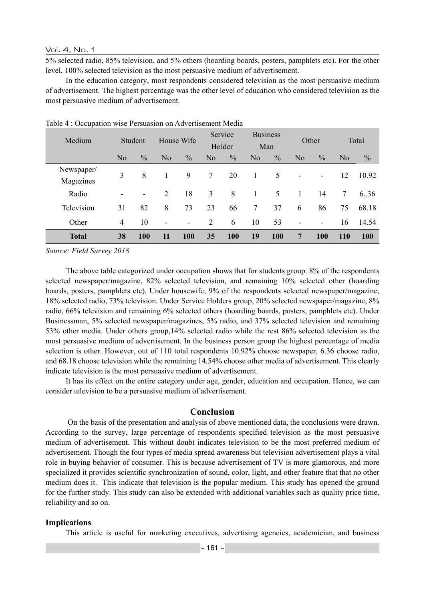Vol. 4, No. 1

5% selected radio, 85% television, and 5% others (hoarding boards, posters, pamphlets etc). For the other level, 100% selected television as the most persuasive medium of advertisement.

In the education category, most respondents considered television as the most persuasive medium of advertisement. The highest percentage was the other level of education who considered television as the most persuasive medium of advertisement.

| Medium                  |                | Student       | House Wife               |               | Service<br>Holder |               | <b>Business</b><br>Man |               | Other          |               | Total          |               |
|-------------------------|----------------|---------------|--------------------------|---------------|-------------------|---------------|------------------------|---------------|----------------|---------------|----------------|---------------|
|                         | N <sub>o</sub> | $\frac{0}{0}$ | No                       | $\frac{0}{0}$ | N <sub>o</sub>    | $\frac{0}{0}$ | N <sub>o</sub>         | $\frac{0}{0}$ | N <sub>o</sub> | $\frac{0}{0}$ | N <sub>0</sub> | $\frac{0}{0}$ |
| Newspaper/<br>Magazines | 3              | 8             |                          | 9             | 7                 | 20            | 1                      | 5             |                | -             | 12             | 10.92         |
| Radio                   |                | -             | 2                        | 18            | 3                 | 8             |                        | 5             |                | 14            | $\tau$         | 6.36          |
| Television              | 31             | 82            | 8                        | 73            | 23                | 66            | 7                      | 37            | 6              | 86            | 75             | 68.18         |
| Other                   | 4              | 10            | $\overline{\phantom{a}}$ | -             | 2                 | 6             | 10                     | 53            | ۰              | ۰             | 16             | 14.54         |
| <b>Total</b>            | 38             | 100           | 11                       | 100           | 35                | 100           | 19                     | 100           | 7              | 100           | <b>110</b>     | 100           |

Table 4 : Occupation wise Persuasion on Advertisement Media

*Source: Field Survey 2018*

The above table categorized under occupation shows that for students group. 8% of the respondents selected newspaper/magazine, 82% selected television, and remaining 10% selected other (hoarding boards, posters, pamphlets etc). Under housewife, 9% of the respondents selected newspaper/magazine, 18% selected radio, 73% television. Under Service Holders group, 20% selected newspaper/magazine, 8% radio, 66% television and remaining 6% selected others (hoarding boards, posters, pamphlets etc). Under Businessman, 5% selected newspaper/magazines, 5% radio, and 37% selected television and remaining 53% other media. Under others group,14% selected radio while the rest 86% selected television as the most persuasive medium of advertisement. In the business person group the highest percentage of media selection is other. However, out of 110 total respondents 10.92% choose newspaper, 6.36 choose radio, and 68.18 choose television while the remaining 14.54% choose other media of advertisement. This clearly indicate television is the most persuasive medium of advertisement.

It has its effect on the entire category under age, gender, education and occupation. Hence, we can consider television to be a persuasive medium of advertisement.

### **Conclusion**

 On the basis of the presentation and analysis of above mentioned data, the conclusions were drawn. According to the survey, large percentage of respondents specified television as the most persuasive medium of advertisement. This without doubt indicates television to be the most preferred medium of advertisement. Though the four types of media spread awareness but television advertisement plays a vital role in buying behavior of consumer. This is because advertisement of TV is more glamorous, and more specialized it provides scientific synchronization of sound, color, light, and other feature that that no other medium does it. This indicate that television is the popular medium. This study has opened the ground for the further study. This study can also be extended with additional variables such as quality price time, reliability and so on.

#### **Implications**

This article is useful for marketing executives, advertising agencies, academician, and business